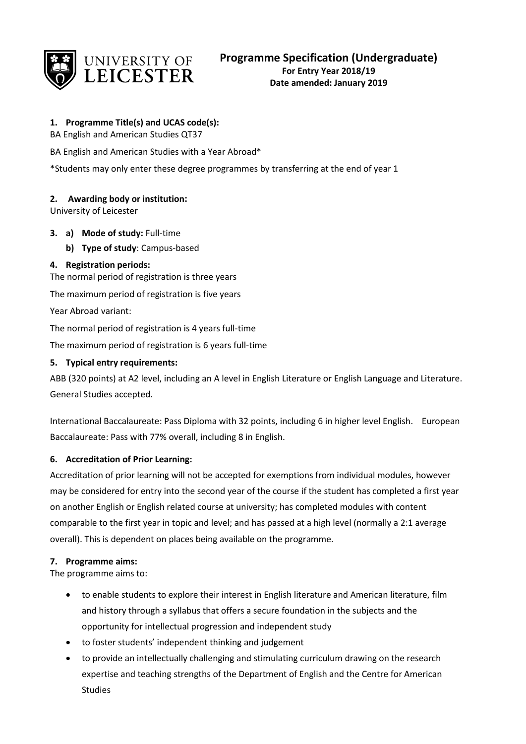

## **1. Programme Title(s) and UCAS code(s):**

BA English and American Studies QT37

BA English and American Studies with a Year Abroad\*

\*Students may only enter these degree programmes by transferring at the end of year 1

## **2. Awarding body or institution:**

University of Leicester

#### **3. a) Mode of study:** Full-time

**b) Type of study**: Campus-based

#### **4. Registration periods:**

The normal period of registration is three years

The maximum period of registration is five years

Year Abroad variant:

The normal period of registration is 4 years full-time

The maximum period of registration is 6 years full-time

#### **5. Typical entry requirements:**

ABB (320 points) at A2 level, including an A level in English Literature or English Language and Literature. General Studies accepted.

International Baccalaureate: Pass Diploma with 32 points, including 6 in higher level English. European Baccalaureate: Pass with 77% overall, including 8 in English.

## **6. Accreditation of Prior Learning:**

Accreditation of prior learning will not be accepted for exemptions from individual modules, however may be considered for entry into the second year of the course if the student has completed a first year on another English or English related course at university; has completed modules with content comparable to the first year in topic and level; and has passed at a high level (normally a 2:1 average overall). This is dependent on places being available on the programme.

#### **7. Programme aims:**

The programme aims to:

- to enable students to explore their interest in English literature and American literature, film and history through a syllabus that offers a secure foundation in the subjects and the opportunity for intellectual progression and independent study
- to foster students' independent thinking and judgement
- to provide an intellectually challenging and stimulating curriculum drawing on the research expertise and teaching strengths of the Department of English and the Centre for American Studies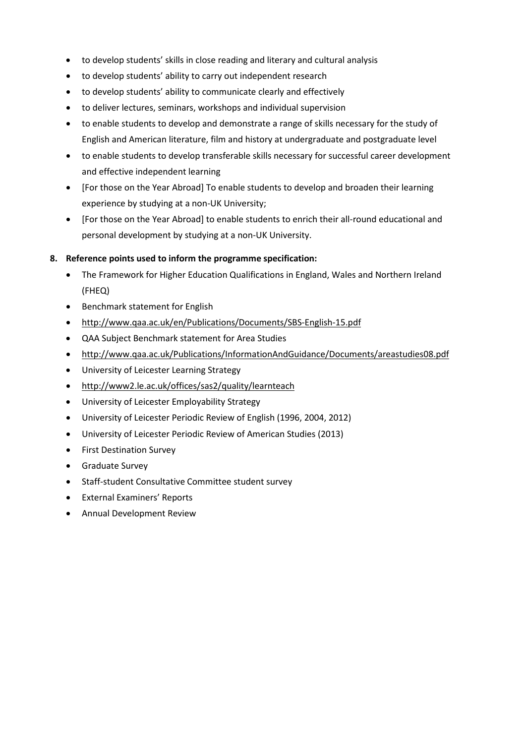- to develop students' skills in close reading and literary and cultural analysis
- to develop students' ability to carry out independent research
- to develop students' ability to communicate clearly and effectively
- to deliver lectures, seminars, workshops and individual supervision
- to enable students to develop and demonstrate a range of skills necessary for the study of English and American literature, film and history at undergraduate and postgraduate level
- to enable students to develop transferable skills necessary for successful career development and effective independent learning
- [For those on the Year Abroad] To enable students to develop and broaden their learning experience by studying at a non-UK University;
- [For those on the Year Abroad] to enable students to enrich their all-round educational and personal development by studying at a non-UK University.

## **8. Reference points used to inform the programme specification:**

- The Framework for Higher Education Qualifications in England, Wales and Northern Ireland (FHEQ)
- Benchmark statement for English
- <http://www.qaa.ac.uk/en/Publications/Documents/SBS-English-15.pdf>
- QAA Subject Benchmark statement for Area Studies
- <http://www.qaa.ac.uk/Publications/InformationAndGuidance/Documents/areastudies08.pdf>
- University of Leicester Learning Strategy
- <http://www2.le.ac.uk/offices/sas2/quality/learnteach>
- University of Leicester Employability Strategy
- University of Leicester Periodic Review of English (1996, 2004, 2012)
- University of Leicester Periodic Review of American Studies (2013)
- First Destination Survey
- Graduate Survey
- Staff-student Consultative Committee student survey
- External Examiners' Reports
- Annual Development Review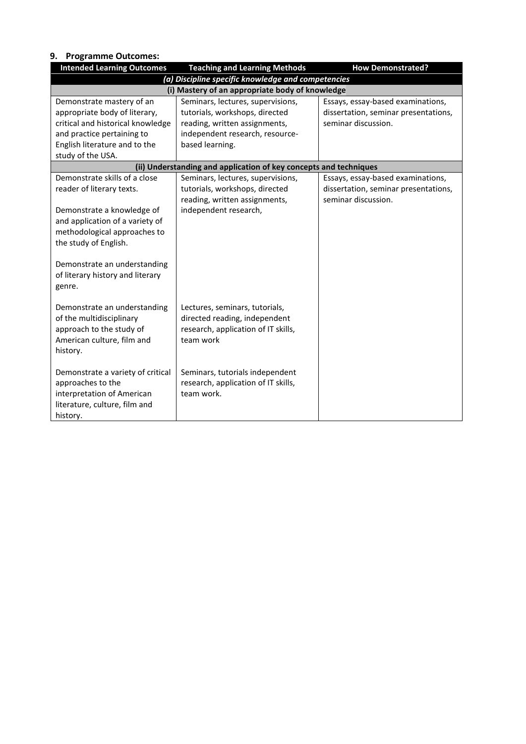#### **9. Programme Outcomes:**

| <b>Intended Learning Outcomes</b> | <b>Teaching and Learning Methods</b>                              | <b>How Demonstrated?</b>             |
|-----------------------------------|-------------------------------------------------------------------|--------------------------------------|
|                                   | (a) Discipline specific knowledge and competencies                |                                      |
|                                   | (i) Mastery of an appropriate body of knowledge                   |                                      |
| Demonstrate mastery of an         | Seminars, lectures, supervisions,                                 | Essays, essay-based examinations,    |
| appropriate body of literary,     | tutorials, workshops, directed                                    | dissertation, seminar presentations, |
| critical and historical knowledge | reading, written assignments,                                     | seminar discussion.                  |
| and practice pertaining to        | independent research, resource-                                   |                                      |
| English literature and to the     | based learning.                                                   |                                      |
| study of the USA.                 |                                                                   |                                      |
|                                   | (ii) Understanding and application of key concepts and techniques |                                      |
| Demonstrate skills of a close     | Seminars, lectures, supervisions,                                 | Essays, essay-based examinations,    |
| reader of literary texts.         | tutorials, workshops, directed                                    | dissertation, seminar presentations, |
|                                   | reading, written assignments,                                     | seminar discussion.                  |
| Demonstrate a knowledge of        | independent research,                                             |                                      |
| and application of a variety of   |                                                                   |                                      |
| methodological approaches to      |                                                                   |                                      |
| the study of English.             |                                                                   |                                      |
|                                   |                                                                   |                                      |
| Demonstrate an understanding      |                                                                   |                                      |
| of literary history and literary  |                                                                   |                                      |
| genre.                            |                                                                   |                                      |
|                                   |                                                                   |                                      |
| Demonstrate an understanding      | Lectures, seminars, tutorials,                                    |                                      |
| of the multidisciplinary          | directed reading, independent                                     |                                      |
| approach to the study of          | research, application of IT skills,                               |                                      |
| American culture, film and        | team work                                                         |                                      |
| history.                          |                                                                   |                                      |
|                                   |                                                                   |                                      |
| Demonstrate a variety of critical | Seminars, tutorials independent                                   |                                      |
| approaches to the                 | research, application of IT skills,                               |                                      |
| interpretation of American        | team work.                                                        |                                      |
| literature, culture, film and     |                                                                   |                                      |
| history.                          |                                                                   |                                      |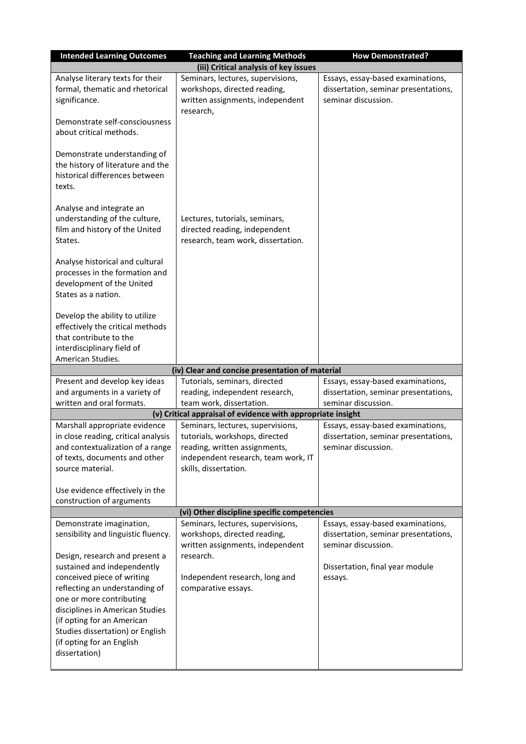| <b>Intended Learning Outcomes</b>                                                                                                               | <b>Teaching and Learning Methods</b>                                                                               | <b>How Demonstrated?</b>                                                                         |
|-------------------------------------------------------------------------------------------------------------------------------------------------|--------------------------------------------------------------------------------------------------------------------|--------------------------------------------------------------------------------------------------|
|                                                                                                                                                 | (iii) Critical analysis of key issues                                                                              |                                                                                                  |
| Analyse literary texts for their<br>formal, thematic and rhetorical<br>significance.                                                            | Seminars, lectures, supervisions,<br>workshops, directed reading,<br>written assignments, independent<br>research, | Essays, essay-based examinations,<br>dissertation, seminar presentations,<br>seminar discussion. |
| Demonstrate self-consciousness<br>about critical methods.                                                                                       |                                                                                                                    |                                                                                                  |
| Demonstrate understanding of<br>the history of literature and the<br>historical differences between<br>texts.                                   |                                                                                                                    |                                                                                                  |
| Analyse and integrate an<br>understanding of the culture,<br>film and history of the United<br>States.                                          | Lectures, tutorials, seminars,<br>directed reading, independent<br>research, team work, dissertation.              |                                                                                                  |
| Analyse historical and cultural<br>processes in the formation and<br>development of the United<br>States as a nation.                           |                                                                                                                    |                                                                                                  |
| Develop the ability to utilize<br>effectively the critical methods<br>that contribute to the<br>interdisciplinary field of<br>American Studies. |                                                                                                                    |                                                                                                  |
|                                                                                                                                                 | (iv) Clear and concise presentation of material                                                                    |                                                                                                  |
| Present and develop key ideas                                                                                                                   | Tutorials, seminars, directed                                                                                      | Essays, essay-based examinations,                                                                |
| and arguments in a variety of                                                                                                                   | reading, independent research,                                                                                     | dissertation, seminar presentations,                                                             |
| written and oral formats.                                                                                                                       | team work, dissertation.                                                                                           | seminar discussion.                                                                              |
|                                                                                                                                                 | (v) Critical appraisal of evidence with appropriate insight                                                        |                                                                                                  |
| Marshall appropriate evidence                                                                                                                   | Seminars, lectures, supervisions,                                                                                  | Essays, essay-based examinations,                                                                |
| in close reading, critical analysis                                                                                                             | tutorials, workshops, directed                                                                                     | dissertation, seminar presentations,                                                             |
| and contextualization of a range                                                                                                                | reading, written assignments,                                                                                      | seminar discussion.                                                                              |
| of texts, documents and other<br>source material.                                                                                               | independent research, team work, IT<br>skills, dissertation.                                                       |                                                                                                  |
| Use evidence effectively in the<br>construction of arguments                                                                                    |                                                                                                                    |                                                                                                  |
|                                                                                                                                                 | (vi) Other discipline specific competencies                                                                        |                                                                                                  |
| Demonstrate imagination,                                                                                                                        | Seminars, lectures, supervisions,                                                                                  | Essays, essay-based examinations,                                                                |
| sensibility and linguistic fluency.                                                                                                             | workshops, directed reading,<br>written assignments, independent                                                   | dissertation, seminar presentations,<br>seminar discussion.                                      |
| Design, research and present a                                                                                                                  | research.                                                                                                          |                                                                                                  |
| sustained and independently                                                                                                                     |                                                                                                                    | Dissertation, final year module                                                                  |
| conceived piece of writing                                                                                                                      | Independent research, long and                                                                                     | essays.                                                                                          |
| reflecting an understanding of                                                                                                                  | comparative essays.                                                                                                |                                                                                                  |
| one or more contributing                                                                                                                        |                                                                                                                    |                                                                                                  |
| disciplines in American Studies                                                                                                                 |                                                                                                                    |                                                                                                  |
| (if opting for an American                                                                                                                      |                                                                                                                    |                                                                                                  |
| Studies dissertation) or English<br>(if opting for an English                                                                                   |                                                                                                                    |                                                                                                  |
| dissertation)                                                                                                                                   |                                                                                                                    |                                                                                                  |
|                                                                                                                                                 |                                                                                                                    |                                                                                                  |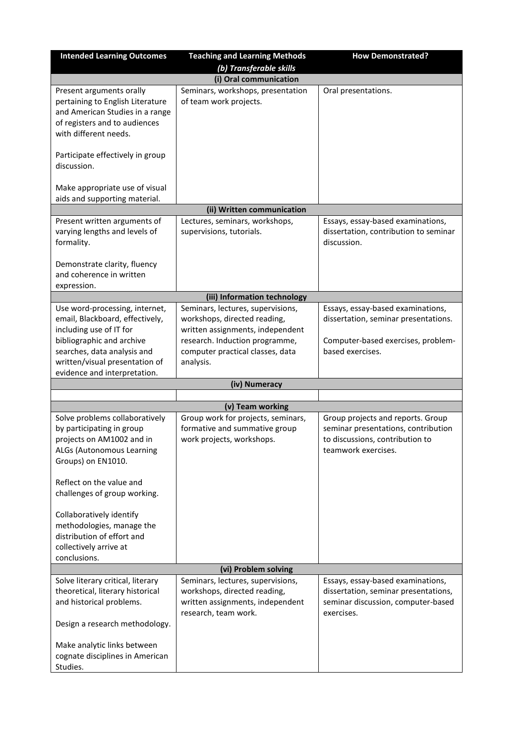| <b>Intended Learning Outcomes</b>                                                                                                                                                          | <b>Teaching and Learning Methods</b>                                                                                                                                                     | <b>How Demonstrated?</b>                                                                                                            |
|--------------------------------------------------------------------------------------------------------------------------------------------------------------------------------------------|------------------------------------------------------------------------------------------------------------------------------------------------------------------------------------------|-------------------------------------------------------------------------------------------------------------------------------------|
|                                                                                                                                                                                            | (b) Transferable skills<br>(i) Oral communication                                                                                                                                        |                                                                                                                                     |
|                                                                                                                                                                                            |                                                                                                                                                                                          |                                                                                                                                     |
| Present arguments orally<br>pertaining to English Literature<br>and American Studies in a range<br>of registers and to audiences<br>with different needs.                                  | Seminars, workshops, presentation<br>of team work projects.                                                                                                                              | Oral presentations.                                                                                                                 |
| Participate effectively in group<br>discussion.                                                                                                                                            |                                                                                                                                                                                          |                                                                                                                                     |
| Make appropriate use of visual<br>aids and supporting material.                                                                                                                            |                                                                                                                                                                                          |                                                                                                                                     |
|                                                                                                                                                                                            | (ii) Written communication                                                                                                                                                               |                                                                                                                                     |
| Present written arguments of<br>varying lengths and levels of<br>formality.                                                                                                                | Lectures, seminars, workshops,<br>supervisions, tutorials.                                                                                                                               | Essays, essay-based examinations,<br>dissertation, contribution to seminar<br>discussion.                                           |
| Demonstrate clarity, fluency<br>and coherence in written<br>expression.                                                                                                                    |                                                                                                                                                                                          |                                                                                                                                     |
|                                                                                                                                                                                            | (iii) Information technology                                                                                                                                                             |                                                                                                                                     |
| Use word-processing, internet,<br>email, Blackboard, effectively,<br>including use of IT for<br>bibliographic and archive<br>searches, data analysis and<br>written/visual presentation of | Seminars, lectures, supervisions,<br>workshops, directed reading,<br>written assignments, independent<br>research. Induction programme,<br>computer practical classes, data<br>analysis. | Essays, essay-based examinations,<br>dissertation, seminar presentations.<br>Computer-based exercises, problem-<br>based exercises. |
| evidence and interpretation.                                                                                                                                                               |                                                                                                                                                                                          |                                                                                                                                     |
|                                                                                                                                                                                            | (iv) Numeracy                                                                                                                                                                            |                                                                                                                                     |
|                                                                                                                                                                                            | (v) Team working                                                                                                                                                                         |                                                                                                                                     |
| Solve problems collaboratively<br>by participating in group<br>projects on AM1002 and in<br>ALGs (Autonomous Learning<br>Groups) on EN1010.                                                | Group work for projects, seminars,<br>formative and summative group<br>work projects, workshops.                                                                                         | Group projects and reports. Group<br>seminar presentations, contribution<br>to discussions, contribution to<br>teamwork exercises.  |
| Reflect on the value and<br>challenges of group working.                                                                                                                                   |                                                                                                                                                                                          |                                                                                                                                     |
| Collaboratively identify<br>methodologies, manage the<br>distribution of effort and<br>collectively arrive at<br>conclusions.                                                              |                                                                                                                                                                                          |                                                                                                                                     |
|                                                                                                                                                                                            | (vi) Problem solving                                                                                                                                                                     |                                                                                                                                     |
| Solve literary critical, literary<br>theoretical, literary historical<br>and historical problems.                                                                                          | Seminars, lectures, supervisions,<br>workshops, directed reading,<br>written assignments, independent<br>research, team work.                                                            | Essays, essay-based examinations,<br>dissertation, seminar presentations,<br>seminar discussion, computer-based<br>exercises.       |
| Design a research methodology.<br>Make analytic links between<br>cognate disciplines in American<br>Studies.                                                                               |                                                                                                                                                                                          |                                                                                                                                     |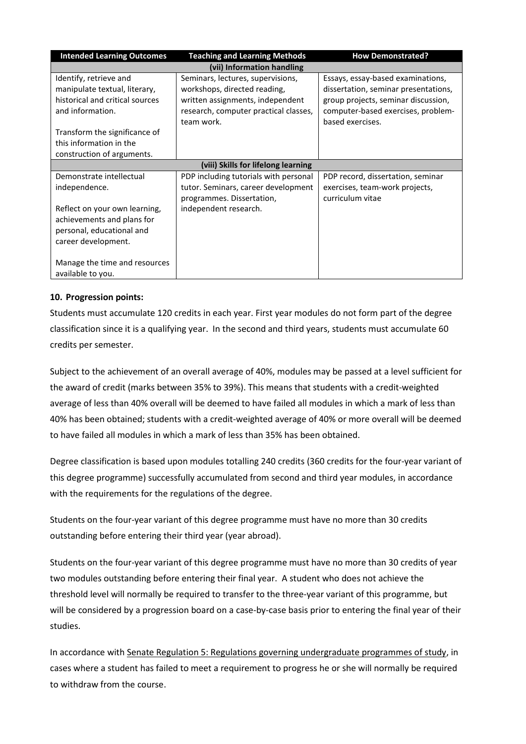| <b>Intended Learning Outcomes</b> | <b>Teaching and Learning Methods</b>  | <b>How Demonstrated?</b>             |
|-----------------------------------|---------------------------------------|--------------------------------------|
|                                   | (vii) Information handling            |                                      |
| Identify, retrieve and            | Seminars, lectures, supervisions,     | Essays, essay-based examinations,    |
| manipulate textual, literary,     | workshops, directed reading,          | dissertation, seminar presentations, |
| historical and critical sources   | written assignments, independent      | group projects, seminar discussion,  |
| and information.                  | research, computer practical classes, | computer-based exercises, problem-   |
|                                   | team work.                            | based exercises.                     |
| Transform the significance of     |                                       |                                      |
| this information in the           |                                       |                                      |
| construction of arguments.        |                                       |                                      |
|                                   | (viii) Skills for lifelong learning   |                                      |
| Demonstrate intellectual          | PDP including tutorials with personal | PDP record, dissertation, seminar    |
| independence.                     | tutor. Seminars, career development   | exercises, team-work projects,       |
|                                   | programmes. Dissertation,             | curriculum vitae                     |
| Reflect on your own learning,     | independent research.                 |                                      |
| achievements and plans for        |                                       |                                      |
| personal, educational and         |                                       |                                      |
| career development.               |                                       |                                      |
|                                   |                                       |                                      |
| Manage the time and resources     |                                       |                                      |
| available to you.                 |                                       |                                      |

## **10. Progression points:**

Students must accumulate 120 credits in each year. First year modules do not form part of the degree classification since it is a qualifying year. In the second and third years, students must accumulate 60 credits per semester.

Subject to the achievement of an overall average of 40%, modules may be passed at a level sufficient for the award of credit (marks between 35% to 39%). This means that students with a credit-weighted average of less than 40% overall will be deemed to have failed all modules in which a mark of less than 40% has been obtained; students with a credit-weighted average of 40% or more overall will be deemed to have failed all modules in which a mark of less than 35% has been obtained.

Degree classification is based upon modules totalling 240 credits (360 credits for the four-year variant of this degree programme) successfully accumulated from second and third year modules, in accordance with the requirements for the regulations of the degree.

Students on the four-year variant of this degree programme must have no more than 30 credits outstanding before entering their third year (year abroad).

Students on the four-year variant of this degree programme must have no more than 30 credits of year two modules outstanding before entering their final year. A student who does not achieve the threshold level will normally be required to transfer to the three-year variant of this programme, but will be considered by a progression board on a case-by-case basis prior to entering the final year of their studies.

In accordance wit[h Senate Regulation 5: Regulations governing undergraduate](https://www2.le.ac.uk/offices/sas2/regulations/documents/senatereg5-undergraduates) programmes of study, in cases where a student has failed to meet a requirement to progress he or she will normally be required to withdraw from the course.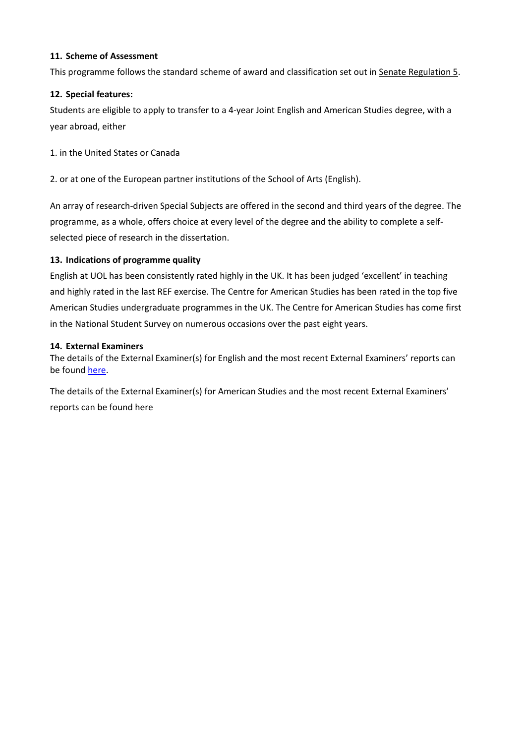#### **11. Scheme of Assessment**

This programme follows the standard scheme of award and classification set out in [Senate Regulation 5.](http://www2.le.ac.uk/offices/sas2/regulations/documents/senatereg5-undergraduates.pdf)

#### **12. Special features:**

Students are eligible to apply to transfer to a 4-year Joint English and American Studies degree, with a year abroad, either

1. in the United States or Canada

2. or at one of the European partner institutions of the School of Arts (English).

An array of research-driven Special Subjects are offered in the second and third years of the degree. The programme, as a whole, offers choice at every level of the degree and the ability to complete a selfselected piece of research in the dissertation.

#### **13. Indications of programme quality**

English at UOL has been consistently rated highly in the UK. It has been judged 'excellent' in teaching and highly rated in the last REF exercise. The Centre for American Studies has been rated in the top five American Studies undergraduate programmes in the UK. The Centre for American Studies has come first in the National Student Survey on numerous occasions over the past eight years.

#### **14. External Examiners**

The details of the External Examiner(s) for English and the most recent External Examiners' reports can be found [here.](https://exampapers.le.ac.uk/xmlui/handle/123456789/186)

The details of the External Examiner(s) for American Studies and the most recent External Examiners' reports can be found [here](https://exampapers.le.ac.uk/xmlui/handle/123456789/174)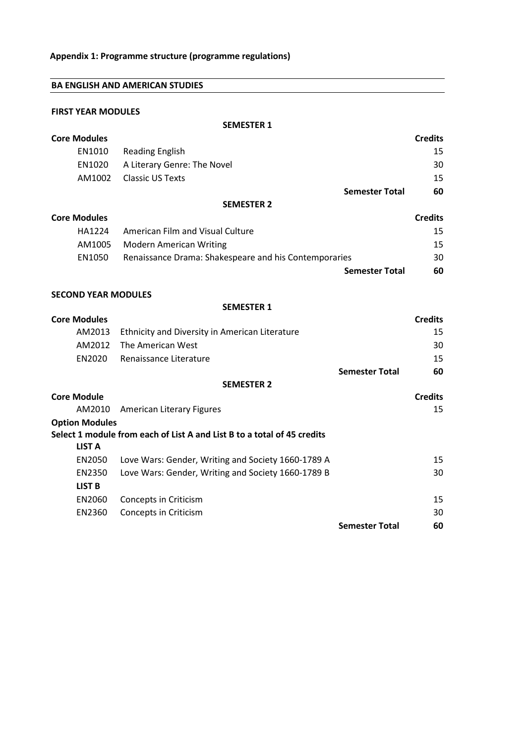| <b>BA ENGLISH AND AMERICAN STUDIES</b> |  |  |  |  |
|----------------------------------------|--|--|--|--|
|----------------------------------------|--|--|--|--|

#### **SEMESTER 1**

| <b>Core Modules</b>        |                                                                         | <b>Credits</b> |
|----------------------------|-------------------------------------------------------------------------|----------------|
| EN1010                     | <b>Reading English</b>                                                  | 15             |
| EN1020                     | A Literary Genre: The Novel                                             | 30             |
| AM1002                     | <b>Classic US Texts</b>                                                 | 15             |
|                            | <b>Semester Total</b>                                                   | 60             |
|                            | <b>SEMESTER 2</b>                                                       |                |
| <b>Core Modules</b>        |                                                                         | <b>Credits</b> |
| HA1224                     | American Film and Visual Culture                                        | 15             |
| AM1005                     | <b>Modern American Writing</b>                                          | 15             |
| EN1050                     | Renaissance Drama: Shakespeare and his Contemporaries                   | 30             |
|                            | <b>Semester Total</b>                                                   | 60             |
|                            |                                                                         |                |
| <b>SECOND YEAR MODULES</b> |                                                                         |                |
|                            | <b>SEMESTER 1</b>                                                       |                |
| <b>Core Modules</b>        |                                                                         | <b>Credits</b> |
| AM2013                     | Ethnicity and Diversity in American Literature                          | 15             |
| AM2012                     | The American West                                                       | 30             |
| EN2020                     | Renaissance Literature                                                  | 15             |
|                            | <b>Semester Total</b>                                                   | 60             |
|                            | <b>SEMESTER 2</b>                                                       |                |
| <b>Core Module</b>         |                                                                         | <b>Credits</b> |
| AM2010                     | <b>American Literary Figures</b>                                        | 15             |
| <b>Option Modules</b>      |                                                                         |                |
| <b>LIST A</b>              | Select 1 module from each of List A and List B to a total of 45 credits |                |
|                            |                                                                         |                |
| EN2050                     | Love Wars: Gender, Writing and Society 1660-1789 A                      | 15             |
| EN2350                     | Love Wars: Gender, Writing and Society 1660-1789 B                      | 30             |
| <b>LIST B</b>              |                                                                         |                |
| EN2060                     | Concepts in Criticism                                                   | 15             |
| EN2360                     | Concepts in Criticism                                                   | 30             |

**Semester Total 60**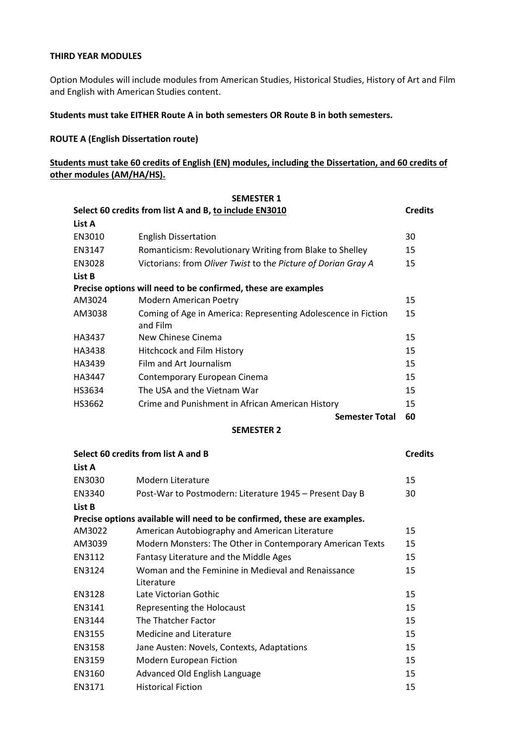#### **THIRD YEAR MODULES**

Option Modules will include modules from American Studies, Historical Studies, History of Art and Film and English with American Studies content.

#### **Students must take EITHER Route A in both semesters OR Route B in both semesters.**

#### **ROUTE A (English Dissertation route)**

#### **Students must take 60 credits of English (EN) modules, including the Dissertation, and 60 credits of other modules (AM/HA/HS).**

|        | <b>SEMESTER 1</b>                                                         |                |
|--------|---------------------------------------------------------------------------|----------------|
|        | Select 60 credits from list A and B, to include EN3010                    | <b>Credits</b> |
| List A |                                                                           |                |
| EN3010 | <b>English Dissertation</b>                                               | 30             |
| EN3147 | Romanticism: Revolutionary Writing from Blake to Shelley                  | 15             |
| EN3028 | Victorians: from Oliver Twist to the Picture of Dorian Gray A             | 15             |
| List B |                                                                           |                |
|        | Precise options will need to be confirmed, these are examples             |                |
| AM3024 | Modern American Poetry                                                    | 15             |
| AM3038 | Coming of Age in America: Representing Adolescence in Fiction<br>and Film | 15             |
| HA3437 | New Chinese Cinema                                                        | 15             |
| HA3438 | <b>Hitchcock and Film History</b>                                         | 15             |
| HA3439 | Film and Art Journalism                                                   | 15             |
| HA3447 | Contemporary European Cinema                                              | 15             |
| HS3634 | The USA and the Vietnam War                                               | 15             |
| HS3662 | Crime and Punishment in African American History                          | 15             |
|        | <b>Semester Total</b>                                                     | 60             |
|        | <b>SEMESTER 2</b>                                                         |                |
|        | Select 60 credits from list A and B                                       | <b>Credits</b> |
| List A |                                                                           |                |

| EN3030 | Modern Literature                                                        | 15 |
|--------|--------------------------------------------------------------------------|----|
| EN3340 | Post-War to Postmodern: Literature 1945 - Present Day B                  | 30 |
| List B |                                                                          |    |
|        | Precise options available will need to be confirmed, these are examples. |    |
| AM3022 | American Autobiography and American Literature                           | 15 |
| AM3039 | Modern Monsters: The Other in Contemporary American Texts                | 15 |
| EN3112 | Fantasy Literature and the Middle Ages                                   | 15 |
| EN3124 | Woman and the Feminine in Medieval and Renaissance                       | 15 |
|        | Literature                                                               |    |
| EN3128 | Late Victorian Gothic                                                    | 15 |
| EN3141 | Representing the Holocaust                                               | 15 |
| EN3144 | The Thatcher Factor                                                      | 15 |
| EN3155 | Medicine and Literature                                                  | 15 |
| EN3158 | Jane Austen: Novels, Contexts, Adaptations                               | 15 |
| EN3159 | Modern European Fiction                                                  | 15 |
| EN3160 | Advanced Old English Language                                            | 15 |
| EN3171 | <b>Historical Fiction</b>                                                | 15 |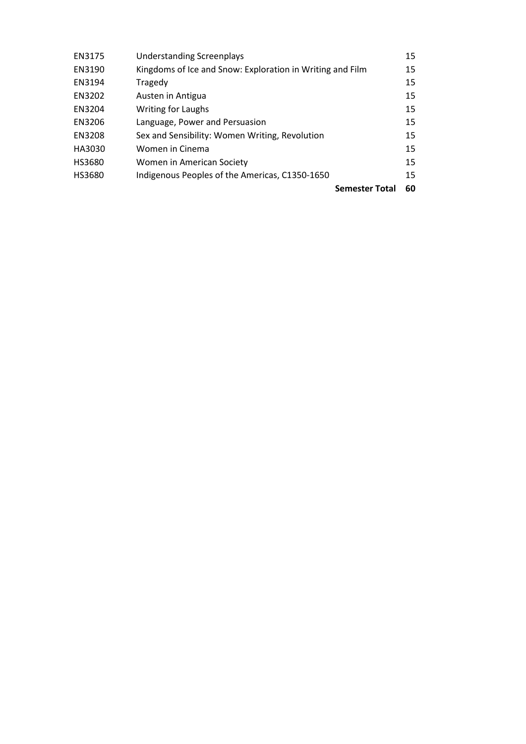| EN3175 | <b>Understanding Screenplays</b>                          |                       | 15 |
|--------|-----------------------------------------------------------|-----------------------|----|
| EN3190 | Kingdoms of Ice and Snow: Exploration in Writing and Film |                       | 15 |
| EN3194 | Tragedy                                                   |                       | 15 |
| EN3202 | Austen in Antigua                                         |                       | 15 |
| EN3204 | <b>Writing for Laughs</b>                                 |                       | 15 |
| EN3206 | Language, Power and Persuasion                            |                       | 15 |
| EN3208 | Sex and Sensibility: Women Writing, Revolution            |                       | 15 |
| HA3030 | Women in Cinema                                           |                       | 15 |
| HS3680 | Women in American Society                                 |                       | 15 |
| HS3680 | Indigenous Peoples of the Americas, C1350-1650            |                       | 15 |
|        |                                                           | <b>Semester Total</b> | 60 |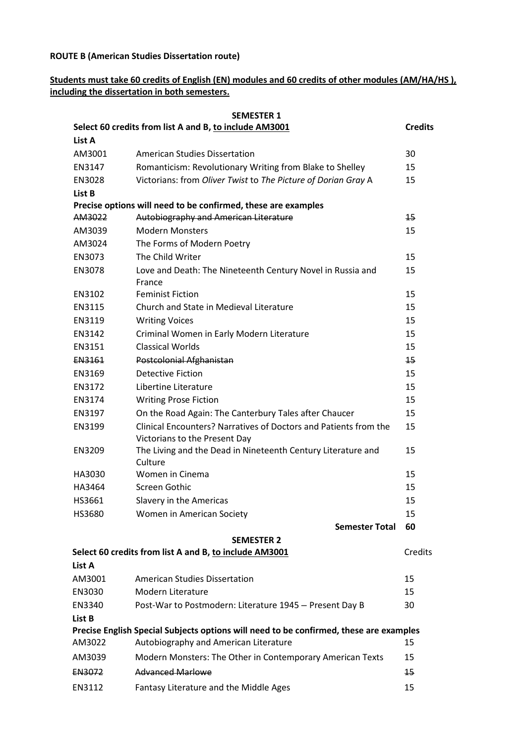#### **ROUTE B (American Studies Dissertation route)**

# **Students must take 60 credits of English (EN) modules and 60 credits of other modules (AM/HA/HS ), including the dissertation in both semesters.**

|                  | <b>SEMESTER 1</b>                                                                                      |                |
|------------------|--------------------------------------------------------------------------------------------------------|----------------|
|                  | Select 60 credits from list A and B, to include AM3001                                                 | <b>Credits</b> |
| List A           |                                                                                                        |                |
| AM3001           | <b>American Studies Dissertation</b>                                                                   | 30             |
| EN3147           | Romanticism: Revolutionary Writing from Blake to Shelley                                               | 15             |
| EN3028           | Victorians: from Oliver Twist to The Picture of Dorian Gray A                                          | 15             |
| List B           |                                                                                                        |                |
| AM3022           | Precise options will need to be confirmed, these are examples<br>Autobiography and American Literature | 15             |
| AM3039           | <b>Modern Monsters</b>                                                                                 | 15             |
| AM3024           | The Forms of Modern Poetry                                                                             |                |
| EN3073           | The Child Writer                                                                                       | 15             |
| EN3078           | Love and Death: The Nineteenth Century Novel in Russia and                                             | 15             |
|                  | France                                                                                                 |                |
| EN3102           | <b>Feminist Fiction</b>                                                                                | 15             |
| EN3115           | Church and State in Medieval Literature                                                                | 15             |
| EN3119           | <b>Writing Voices</b>                                                                                  | 15             |
| EN3142           | Criminal Women in Early Modern Literature                                                              | 15             |
| EN3151           | <b>Classical Worlds</b>                                                                                | 15             |
| EN3161           | Postcolonial Afghanistan                                                                               | 15             |
| EN3169           | <b>Detective Fiction</b>                                                                               | 15             |
| EN3172           | Libertine Literature                                                                                   | 15             |
| EN3174           | <b>Writing Prose Fiction</b>                                                                           | 15             |
| EN3197           | On the Road Again: The Canterbury Tales after Chaucer                                                  | 15             |
| EN3199           | Clinical Encounters? Narratives of Doctors and Patients from the                                       | 15             |
|                  | Victorians to the Present Day                                                                          |                |
| EN3209           | The Living and the Dead in Nineteenth Century Literature and                                           | 15             |
|                  | Culture<br>Women in Cinema                                                                             | 15             |
| HA3030<br>HA3464 | Screen Gothic                                                                                          | 15             |
| HS3661           |                                                                                                        | 15             |
|                  | Slavery in the Americas                                                                                |                |
| HS3680           | Women in American Society                                                                              | 15             |
|                  | <b>Semester Total</b>                                                                                  | 60             |
|                  | <b>SEMESTER 2</b><br>Select 60 credits from list A and B, to include AM3001                            | Credits        |
| List A           |                                                                                                        |                |
| AM3001           | <b>American Studies Dissertation</b>                                                                   | 15             |
| EN3030           | Modern Literature                                                                                      | 15             |
| EN3340           | Post-War to Postmodern: Literature 1945 - Present Day B                                                | 30             |
| List B           |                                                                                                        |                |
|                  | Precise English Special Subjects options will need to be confirmed, these are examples                 |                |
| AM3022           | Autobiography and American Literature                                                                  | 15             |
| AM3039           | Modern Monsters: The Other in Contemporary American Texts                                              | 15             |
| EN3072           | <b>Advanced Marlowe</b>                                                                                | 15             |
| EN3112           | Fantasy Literature and the Middle Ages                                                                 | 15             |
|                  |                                                                                                        |                |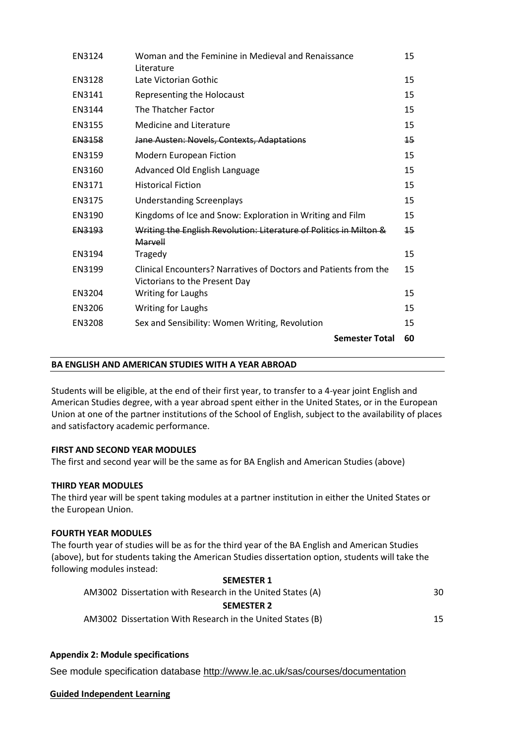| EN3124        | Woman and the Feminine in Medieval and Renaissance<br>Literature                                  | 15 |
|---------------|---------------------------------------------------------------------------------------------------|----|
| EN3128        | Late Victorian Gothic                                                                             | 15 |
| EN3141        | Representing the Holocaust                                                                        | 15 |
| EN3144        | The Thatcher Factor                                                                               | 15 |
| EN3155        | Medicine and Literature                                                                           | 15 |
| <b>EN3158</b> | Jane Austen: Novels, Contexts, Adaptations                                                        | 15 |
| EN3159        | <b>Modern European Fiction</b>                                                                    | 15 |
| EN3160        | Advanced Old English Language                                                                     | 15 |
| EN3171        | <b>Historical Fiction</b>                                                                         | 15 |
| EN3175        | <b>Understanding Screenplays</b>                                                                  | 15 |
| EN3190        | Kingdoms of Ice and Snow: Exploration in Writing and Film                                         | 15 |
| EN3193        | Writing the English Revolution: Literature of Politics in Milton &<br>Marvell                     | 15 |
| EN3194        | Tragedy                                                                                           | 15 |
| EN3199        | Clinical Encounters? Narratives of Doctors and Patients from the<br>Victorians to the Present Day | 15 |
| EN3204        | <b>Writing for Laughs</b>                                                                         | 15 |
| EN3206        | <b>Writing for Laughs</b>                                                                         | 15 |
| EN3208        | Sex and Sensibility: Women Writing, Revolution                                                    | 15 |
|               | <b>Semester Total</b>                                                                             | 60 |

#### **BA ENGLISH AND AMERICAN STUDIES WITH A YEAR ABROAD**

Students will be eligible, at the end of their first year, to transfer to a 4-year joint English and American Studies degree, with a year abroad spent either in the United States, or in the European Union at one of the partner institutions of the School of English, subject to the availability of places and satisfactory academic performance.

## **FIRST AND SECOND YEAR MODULES**

The first and second year will be the same as for BA English and American Studies (above)

#### **THIRD YEAR MODULES**

The third year will be spent taking modules at a partner institution in either the United States or the European Union.

#### **FOURTH YEAR MODULES**

The fourth year of studies will be as for the third year of the BA English and American Studies (above), but for students taking the American Studies dissertation option, students will take the following modules instead:

## **SEMESTER 1** AM3002 Dissertation with Research in the United States (A) 30 **SEMESTER 2** AM3002 Dissertation With Research in the United States (B) 15

## **Appendix 2: Module specifications**

See module specification database <http://www.le.ac.uk/sas/courses/documentation>

**Guided Independent Learning**